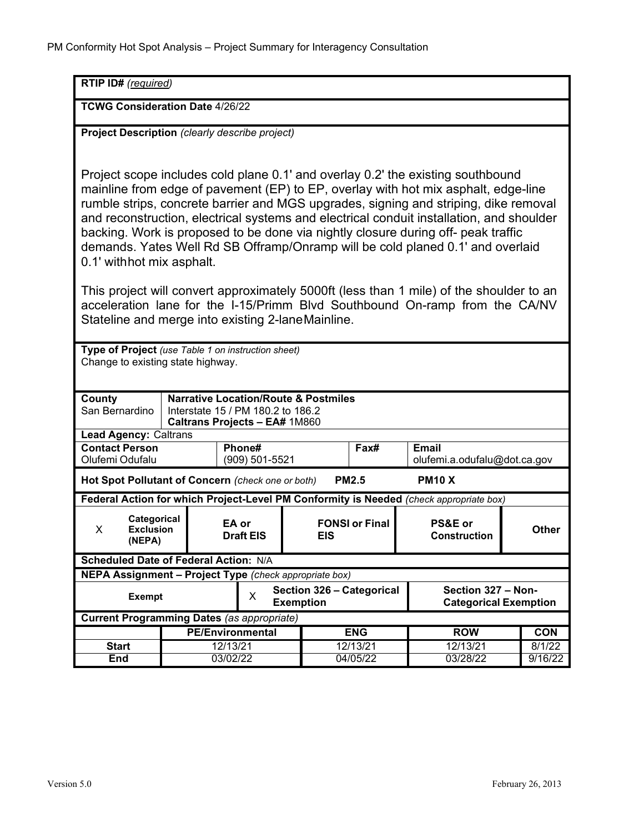| RTIP ID# (required)                                                                                                                                                                                                                                                                                                                                                                                                                                                                                                                                                                                                                                                                                                                                                                                                                                                                     |                                     |                                                    |                                     |                                                    |                                              |                   |
|-----------------------------------------------------------------------------------------------------------------------------------------------------------------------------------------------------------------------------------------------------------------------------------------------------------------------------------------------------------------------------------------------------------------------------------------------------------------------------------------------------------------------------------------------------------------------------------------------------------------------------------------------------------------------------------------------------------------------------------------------------------------------------------------------------------------------------------------------------------------------------------------|-------------------------------------|----------------------------------------------------|-------------------------------------|----------------------------------------------------|----------------------------------------------|-------------------|
| <b>TCWG Consideration Date 4/26/22</b>                                                                                                                                                                                                                                                                                                                                                                                                                                                                                                                                                                                                                                                                                                                                                                                                                                                  |                                     |                                                    |                                     |                                                    |                                              |                   |
| Project Description (clearly describe project)                                                                                                                                                                                                                                                                                                                                                                                                                                                                                                                                                                                                                                                                                                                                                                                                                                          |                                     |                                                    |                                     |                                                    |                                              |                   |
| Project scope includes cold plane 0.1' and overlay 0.2' the existing southbound<br>mainline from edge of pavement (EP) to EP, overlay with hot mix asphalt, edge-line<br>rumble strips, concrete barrier and MGS upgrades, signing and striping, dike removal<br>and reconstruction, electrical systems and electrical conduit installation, and shoulder<br>backing. Work is proposed to be done via nightly closure during off- peak traffic<br>demands. Yates Well Rd SB Offramp/Onramp will be cold planed 0.1' and overlaid<br>0.1' withhot mix asphalt.<br>This project will convert approximately 5000ft (less than 1 mile) of the shoulder to an<br>acceleration lane for the I-15/Primm Blvd Southbound On-ramp from the CA/NV<br>Stateline and merge into existing 2-laneMainline.<br>Type of Project (use Table 1 on instruction sheet)<br>Change to existing state highway. |                                     |                                                    |                                     |                                                    |                                              |                   |
| <b>Narrative Location/Route &amp; Postmiles</b><br>County<br>San Bernardino<br>Interstate 15 / PM 180.2 to 186.2                                                                                                                                                                                                                                                                                                                                                                                                                                                                                                                                                                                                                                                                                                                                                                        |                                     |                                                    |                                     |                                                    |                                              |                   |
| <b>Caltrans Projects - EA# 1M860</b><br><b>Lead Agency: Caltrans</b>                                                                                                                                                                                                                                                                                                                                                                                                                                                                                                                                                                                                                                                                                                                                                                                                                    |                                     |                                                    |                                     |                                                    |                                              |                   |
| <b>Contact Person</b><br>Olufemi Odufalu                                                                                                                                                                                                                                                                                                                                                                                                                                                                                                                                                                                                                                                                                                                                                                                                                                                |                                     | Phone#<br>(909) 501-5521                           |                                     | Fax#                                               | <b>Email</b><br>olufemi.a.odufalu@dot.ca.gov |                   |
| Hot Spot Pollutant of Concern (check one or both)<br><b>PM10 X</b><br><b>PM2.5</b>                                                                                                                                                                                                                                                                                                                                                                                                                                                                                                                                                                                                                                                                                                                                                                                                      |                                     |                                                    |                                     |                                                    |                                              |                   |
| Federal Action for which Project-Level PM Conformity is Needed (check appropriate box)                                                                                                                                                                                                                                                                                                                                                                                                                                                                                                                                                                                                                                                                                                                                                                                                  |                                     |                                                    |                                     |                                                    |                                              |                   |
| Categorical<br>X<br><b>Exclusion</b><br>(NEPA)                                                                                                                                                                                                                                                                                                                                                                                                                                                                                                                                                                                                                                                                                                                                                                                                                                          |                                     | EA or<br><b>Draft EIS</b>                          | <b>FONSI or Final</b><br><b>EIS</b> |                                                    | PS&E or<br><b>Construction</b>               | <b>Other</b>      |
| Scheduled Date of Federal Action: N/A                                                                                                                                                                                                                                                                                                                                                                                                                                                                                                                                                                                                                                                                                                                                                                                                                                                   |                                     |                                                    |                                     |                                                    |                                              |                   |
| NEPA Assignment - Project Type (check appropriate box)                                                                                                                                                                                                                                                                                                                                                                                                                                                                                                                                                                                                                                                                                                                                                                                                                                  |                                     |                                                    |                                     |                                                    |                                              |                   |
| <b>Exempt</b>                                                                                                                                                                                                                                                                                                                                                                                                                                                                                                                                                                                                                                                                                                                                                                                                                                                                           |                                     | Section 326 - Categorical<br>X<br><b>Exemption</b> |                                     | Section 327 - Non-<br><b>Categorical Exemption</b> |                                              |                   |
| <b>Current Programming Dates (as appropriate)</b>                                                                                                                                                                                                                                                                                                                                                                                                                                                                                                                                                                                                                                                                                                                                                                                                                                       |                                     |                                                    |                                     |                                                    |                                              |                   |
|                                                                                                                                                                                                                                                                                                                                                                                                                                                                                                                                                                                                                                                                                                                                                                                                                                                                                         | <b>PE/Environmental</b><br>12/13/21 |                                                    |                                     | <b>ENG</b>                                         | <b>ROW</b>                                   | <b>CON</b>        |
| <b>Start</b><br>End                                                                                                                                                                                                                                                                                                                                                                                                                                                                                                                                                                                                                                                                                                                                                                                                                                                                     | 03/02/22                            |                                                    |                                     | 12/13/21<br>04/05/22                               | 12/13/21<br>03/28/22                         | 8/1/22<br>9/16/22 |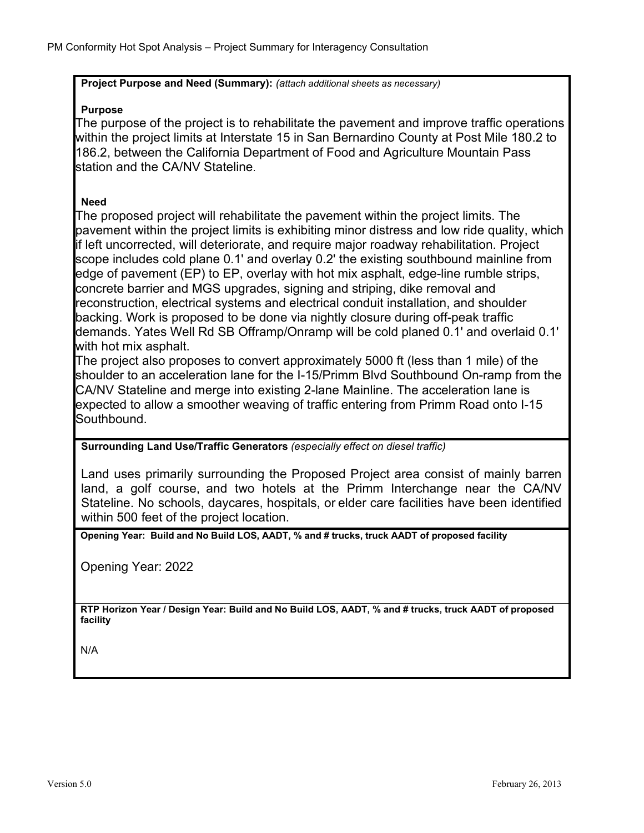**Project Purpose and Need (Summary):** *(attach additional sheets as necessary)*

## **Purpose**

The purpose of the project is to rehabilitate the pavement and improve traffic operations within the project limits at Interstate 15 in San Bernardino County at Post Mile 180.2 to 186.2, between the California Department of Food and Agriculture Mountain Pass station and the CA/NV Stateline.

## **Need**

The proposed project will rehabilitate the pavement within the project limits. The pavement within the project limits is exhibiting minor distress and low ride quality, which if left uncorrected, will deteriorate, and require major roadway rehabilitation. Project scope includes cold plane 0.1' and overlay 0.2' the existing southbound mainline from edge of pavement (EP) to EP, overlay with hot mix asphalt, edge-line rumble strips, concrete barrier and MGS upgrades, signing and striping, dike removal and reconstruction, electrical systems and electrical conduit installation, and shoulder backing. Work is proposed to be done via nightly closure during off-peak traffic demands. Yates Well Rd SB Offramp/Onramp will be cold planed 0.1' and overlaid 0.1' with hot mix asphalt.

The project also proposes to convert approximately 5000 ft (less than 1 mile) of the shoulder to an acceleration lane for the I-15/Primm Blvd Southbound On-ramp from the CA/NV Stateline and merge into existing 2-lane Mainline. The acceleration lane is expected to allow a smoother weaving of traffic entering from Primm Road onto I-15 Southbound.

## **Surrounding Land Use/Traffic Generators** *(especially effect on diesel traffic)*

Land uses primarily surrounding the Proposed Project area consist of mainly barren land, a golf course, and two hotels at the Primm Interchange near the CA/NV Stateline. No schools, daycares, hospitals, or elder care facilities have been identified within 500 feet of the project location.

**Opening Year: Build and No Build LOS, AADT, % and # trucks, truck AADT of proposed facility**

Opening Year: 2022

**RTP Horizon Year / Design Year: Build and No Build LOS, AADT, % and # trucks, truck AADT of proposed facility**

N/A